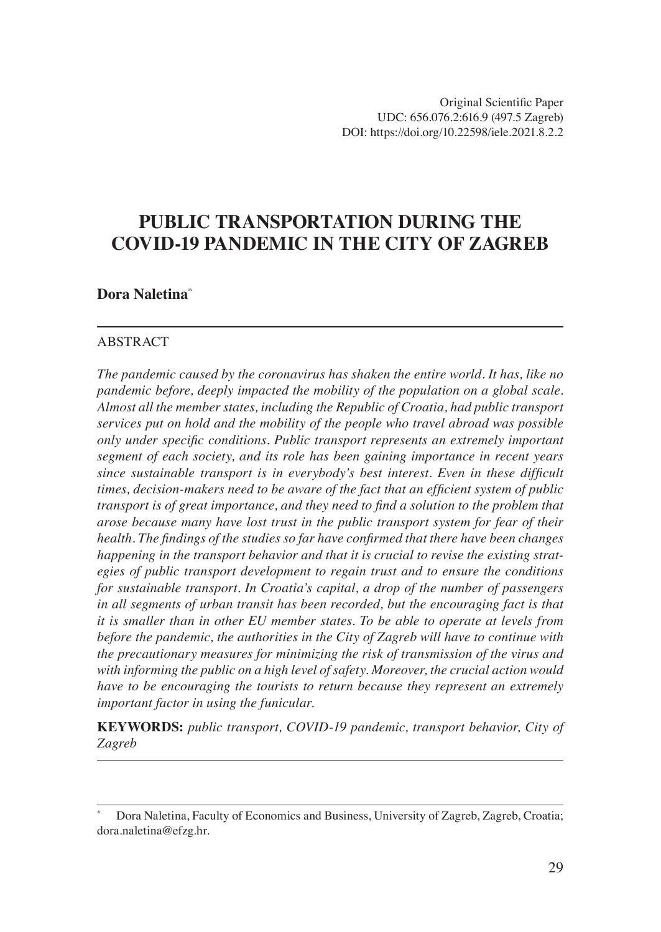# **PUBLIC TRANSPORTATION DURING THE COVID-19 PANDEMIC IN THE CITY OF ZAGREB**

#### **Dora Naletina**\*

#### ABSTRACT

*The pandemic caused by the coronavirus has shaken the entire world. It has, like no pandemic before, deeply impacted the mobility of the population on a global scale. Almost all the member states, including the Republic of Croatia, had public transport services put on hold and the mobility of the people who travel abroad was possible only under specific conditions. Public transport represents an extremely important segment of each society, and its role has been gaining importance in recent years since sustainable transport is in everybody's best interest. Even in these difficult times, decision-makers need to be aware of the fact that an efficient system of public transport is of great importance, and they need to find a solution to the problem that arose because many have lost trust in the public transport system for fear of their health. The findings of the studies so far have confirmed that there have been changes happening in the transport behavior and that it is crucial to revise the existing strategies of public transport development to regain trust and to ensure the conditions for sustainable transport. In Croatia's capital, a drop of the number of passengers in all segments of urban transit has been recorded, but the encouraging fact is that it is smaller than in other EU member states. To be able to operate at levels from before the pandemic, the authorities in the City of Zagreb will have to continue with the precautionary measures for minimizing the risk of transmission of the virus and with informing the public on a high level of safety. Moreover, the crucial action would have to be encouraging the tourists to return because they represent an extremely important factor in using the funicular.*

**KEYWORDS:** *public transport, COVID-19 pandemic, transport behavior, City of Zagreb*

<sup>\*</sup> Dora Naletina, Faculty of Economics and Business, University of Zagreb, Zagreb, Croatia; dora.naletina@efzg.hr.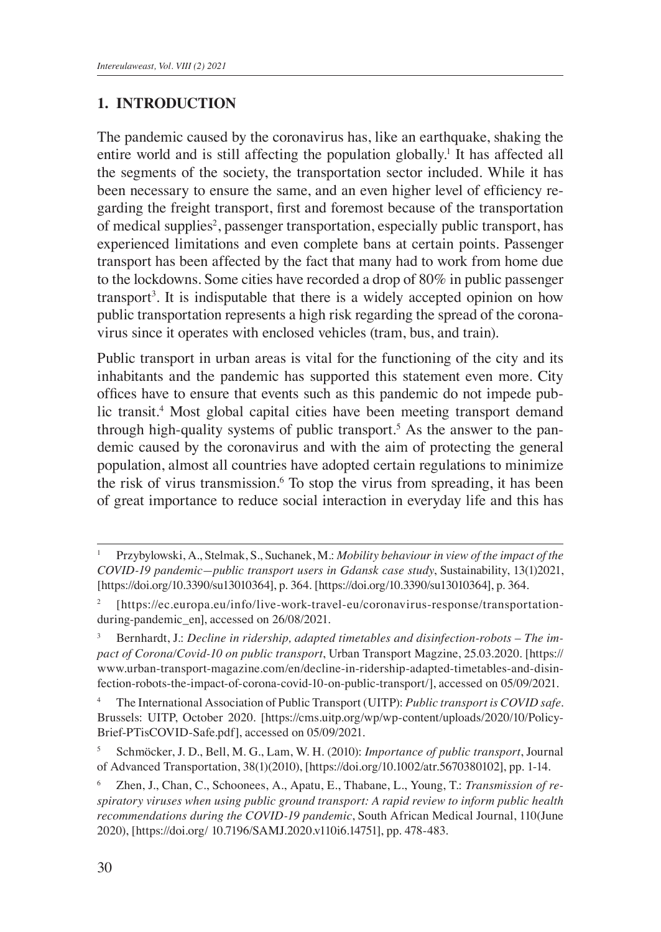### **1. INTRODUCTION**

The pandemic caused by the coronavirus has, like an earthquake, shaking the entire world and is still affecting the population globally.<sup>1</sup> It has affected all the segments of the society, the transportation sector included. While it has been necessary to ensure the same, and an even higher level of efficiency regarding the freight transport, first and foremost because of the transportation of medical supplies<sup>2</sup>, passenger transportation, especially public transport, has experienced limitations and even complete bans at certain points. Passenger transport has been affected by the fact that many had to work from home due to the lockdowns. Some cities have recorded a drop of 80% in public passenger transport<sup>3</sup>. It is indisputable that there is a widely accepted opinion on how public transportation represents a high risk regarding the spread of the coronavirus since it operates with enclosed vehicles (tram, bus, and train).

Public transport in urban areas is vital for the functioning of the city and its inhabitants and the pandemic has supported this statement even more. City offices have to ensure that events such as this pandemic do not impede public transit.<sup>4</sup> Most global capital cities have been meeting transport demand through high-quality systems of public transport.<sup>5</sup> As the answer to the pandemic caused by the coronavirus and with the aim of protecting the general population, almost all countries have adopted certain regulations to minimize the risk of virus transmission.<sup>6</sup> To stop the virus from spreading, it has been of great importance to reduce social interaction in everyday life and this has

<sup>1</sup> Przybylowski, A., Stelmak, S., Suchanek, M.: *Mobility behaviour in view of the impact of the COVID-19 pandemic—public transport users in Gdansk case study*, Sustainability, 13(1)2021, [https://doi.org/10.3390/su13010364], p. 364. [https://doi.org/10.3390/su13010364], p. 364.

<sup>&</sup>lt;sup>2</sup> [https://ec.europa.eu/info/live-work-travel-eu/coronavirus-response/transportationduring-pandemic\_en], accessed on 26/08/2021.

Bernhardt, J.: *Decline in ridership, adapted timetables and disinfection-robots - The impact of Corona/Covid-10 on public transport*, Urban Transport Magzine, 25.03.2020. [https:// www.urban-transport-magazine.com/en/decline-in-ridership-adapted-timetables-and-disinfection-robots-the-impact-of-corona-covid-10-on-public-transport/], accessed on 05/09/2021.

<sup>4</sup> The International Association of Public Transport (UITP): *Public transport is COVID safe*. Brussels: UITP, October 2020. [https://cms.uitp.org/wp/wp-content/uploads/2020/10/Policy-Brief-PTisCOVID-Safe.pdf], accessed on 05/09/2021.

<sup>5</sup> Schmöcker, J. D., Bell, M. G., Lam, W. H. (2010): *Importance of public transport*, Journal of Advanced Transportation, 38(1)(2010), [https://doi.org/10.1002/atr.5670380102], pp. 1-14.

Zhen, J., Chan, C., Schoonees, A., Apatu, E., Thabane, L., Young, T.: *Transmission of respiratory viruses when using public ground transport: A rapid review to inform public health recommendations during the COVID-19 pandemic*, South African Medical Journal, 110(June 2020), [https://doi.org/ 10.7196/SAMJ.2020.v110i6.14751], pp. 478-483.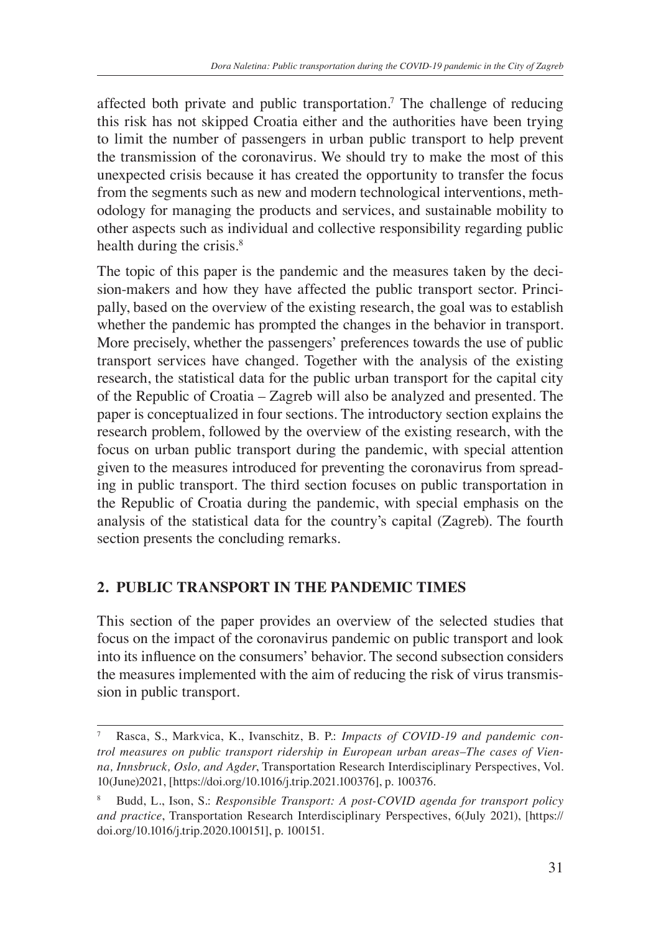affected both private and public transportation.<sup>7</sup> The challenge of reducing this risk has not skipped Croatia either and the authorities have been trying to limit the number of passengers in urban public transport to help prevent the transmission of the coronavirus. We should try to make the most of this unexpected crisis because it has created the opportunity to transfer the focus from the segments such as new and modern technological interventions, methodology for managing the products and services, and sustainable mobility to other aspects such as individual and collective responsibility regarding public health during the crisis.<sup>8</sup>

The topic of this paper is the pandemic and the measures taken by the decision-makers and how they have affected the public transport sector. Principally, based on the overview of the existing research, the goal was to establish whether the pandemic has prompted the changes in the behavior in transport. More precisely, whether the passengers' preferences towards the use of public transport services have changed. Together with the analysis of the existing research, the statistical data for the public urban transport for the capital city of the Republic of Croatia – Zagreb will also be analyzed and presented. The paper is conceptualized in four sections. The introductory section explains the research problem, followed by the overview of the existing research, with the focus on urban public transport during the pandemic, with special attention given to the measures introduced for preventing the coronavirus from spreading in public transport. The third section focuses on public transportation in the Republic of Croatia during the pandemic, with special emphasis on the analysis of the statistical data for the country's capital (Zagreb). The fourth section presents the concluding remarks.

### **2. PUBLIC TRANSPORT IN THE PANDEMIC TIMES**

This section of the paper provides an overview of the selected studies that focus on the impact of the coronavirus pandemic on public transport and look into its influence on the consumers' behavior. The second subsection considers the measures implemented with the aim of reducing the risk of virus transmission in public transport.

Rasca, S., Markvica, K., Ivanschitz, B. P.: *Impacts of COVID-19 and pandemic control measures on public transport ridership in European urban areas–The cases of Vienna, Innsbruck, Oslo, and Agder*, Transportation Research Interdisciplinary Perspectives, Vol. 10(June)2021, [https://doi.org/10.1016/j.trip.2021.100376], p. 100376.

<sup>8</sup> Budd, L., Ison, S.: *Responsible Transport: A post-COVID agenda for transport policy and practice*, Transportation Research Interdisciplinary Perspectives, 6(July 2021), [https:// doi.org/10.1016/j.trip.2020.100151], p. 100151.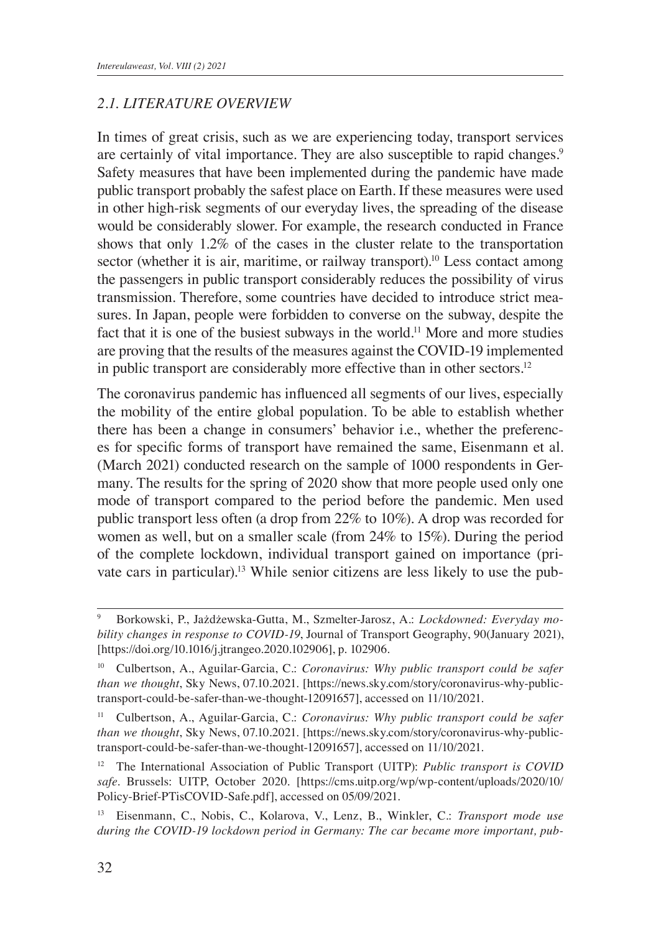### *2.1. LITERATURE OVERVIEW*

In times of great crisis, such as we are experiencing today, transport services are certainly of vital importance. They are also susceptible to rapid changes.<sup>9</sup> Safety measures that have been implemented during the pandemic have made public transport probably the safest place on Earth. If these measures were used in other high-risk segments of our everyday lives, the spreading of the disease would be considerably slower. For example, the research conducted in France shows that only 1.2% of the cases in the cluster relate to the transportation sector (whether it is air, maritime, or railway transport).<sup>10</sup> Less contact among the passengers in public transport considerably reduces the possibility of virus transmission. Therefore, some countries have decided to introduce strict measures. In Japan, people were forbidden to converse on the subway, despite the fact that it is one of the busiest subways in the world.<sup>11</sup> More and more studies are proving that the results of the measures against the COVID-19 implemented in public transport are considerably more effective than in other sectors.<sup>12</sup>

The coronavirus pandemic has influenced all segments of our lives, especially the mobility of the entire global population. To be able to establish whether there has been a change in consumers' behavior i.e., whether the preferences for specific forms of transport have remained the same, Eisenmann et al. (March 2021) conducted research on the sample of 1000 respondents in Germany. The results for the spring of 2020 show that more people used only one mode of transport compared to the period before the pandemic. Men used public transport less often (a drop from 22% to 10%). A drop was recorded for women as well, but on a smaller scale (from 24% to 15%). During the period of the complete lockdown, individual transport gained on importance (private cars in particular).13 While senior citizens are less likely to use the pub-

<sup>9</sup> Borkowski, P., Jażdżewska-Gutta, M., Szmelter-Jarosz, A.: *Lockdowned: Everyday mobility changes in response to COVID-19*, Journal of Transport Geography, 90(January 2021), [https://doi.org/10.1016/j.jtrangeo.2020.102906], p. 102906.

<sup>10</sup> Culbertson, A., Aguilar-Garcia, C.: *Coronavirus: Why public transport could be safer than we thought*, Sky News, 07.10.2021. [https://news.sky.com/story/coronavirus-why-publictransport-could-be-safer-than-we-thought-12091657], accessed on 11/10/2021.

<sup>11</sup> Culbertson, A., Aguilar-Garcia, C.: *Coronavirus: Why public transport could be safer than we thought*, Sky News, 07.10.2021. [https://news.sky.com/story/coronavirus-why-publictransport-could-be-safer-than-we-thought-12091657], accessed on 11/10/2021.

<sup>12</sup> The International Association of Public Transport (UITP): *Public transport is COVID safe*. Brussels: UITP, October 2020. [https://cms.uitp.org/wp/wp-content/uploads/2020/10/ Policy-Brief-PTisCOVID-Safe.pdf], accessed on 05/09/2021.

<sup>13</sup> Eisenmann, C., Nobis, C., Kolarova, V., Lenz, B., Winkler, C.: *Transport mode use during the COVID-19 lockdown period in Germany: The car became more important, pub-*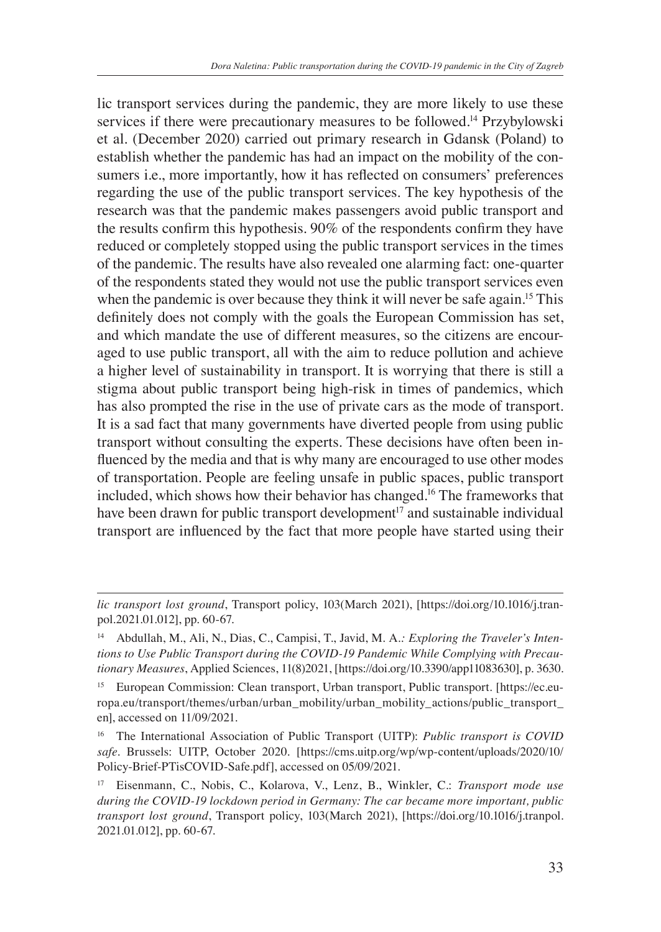lic transport services during the pandemic, they are more likely to use these services if there were precautionary measures to be followed.<sup>14</sup> Przybylowski et al. (December 2020) carried out primary research in Gdansk (Poland) to establish whether the pandemic has had an impact on the mobility of the consumers i.e., more importantly, how it has reflected on consumers' preferences regarding the use of the public transport services. The key hypothesis of the research was that the pandemic makes passengers avoid public transport and the results confirm this hypothesis. 90% of the respondents confirm they have reduced or completely stopped using the public transport services in the times of the pandemic. The results have also revealed one alarming fact: one-quarter of the respondents stated they would not use the public transport services even when the pandemic is over because they think it will never be safe again.<sup>15</sup> This definitely does not comply with the goals the European Commission has set, and which mandate the use of different measures, so the citizens are encouraged to use public transport, all with the aim to reduce pollution and achieve a higher level of sustainability in transport. It is worrying that there is still a stigma about public transport being high-risk in times of pandemics, which has also prompted the rise in the use of private cars as the mode of transport. It is a sad fact that many governments have diverted people from using public transport without consulting the experts. These decisions have often been influenced by the media and that is why many are encouraged to use other modes of transportation. People are feeling unsafe in public spaces, public transport included, which shows how their behavior has changed.<sup>16</sup> The frameworks that have been drawn for public transport development<sup>17</sup> and sustainable individual transport are influenced by the fact that more people have started using their

*lic transport lost ground*, Transport policy, 103(March 2021), [https://doi.org/10.1016/j.tranpol.2021.01.012], pp. 60-67.

<sup>14</sup> Abdullah, M., Ali, N., Dias, C., Campisi, T., Javid, M. A*.: Exploring the Traveler's Intentions to Use Public Transport during the COVID-19 Pandemic While Complying with Precautionary Measures*, Applied Sciences, 11(8)2021, [https://doi.org/10.3390/app11083630], p. 3630.

<sup>&</sup>lt;sup>15</sup> European Commission: Clean transport, Urban transport, Public transport. [https://ec.europa.eu/transport/themes/urban/urban\_mobility/urban\_mobility\_actions/public\_transport\_ en], accessed on 11/09/2021.

<sup>&</sup>lt;sup>16</sup> The International Association of Public Transport (UITP): *Public transport is COVID safe*. Brussels: UITP, October 2020. [https://cms.uitp.org/wp/wp-content/uploads/2020/10/ Policy-Brief-PTisCOVID-Safe.pdf], accessed on 05/09/2021.

<sup>17</sup> Eisenmann, C., Nobis, C., Kolarova, V., Lenz, B., Winkler, C.: *Transport mode use during the COVID-19 lockdown period in Germany: The car became more important, public transport lost ground*, Transport policy, 103(March 2021), [https://doi.org/10.1016/j.tranpol. 2021.01.012], pp. 60-67.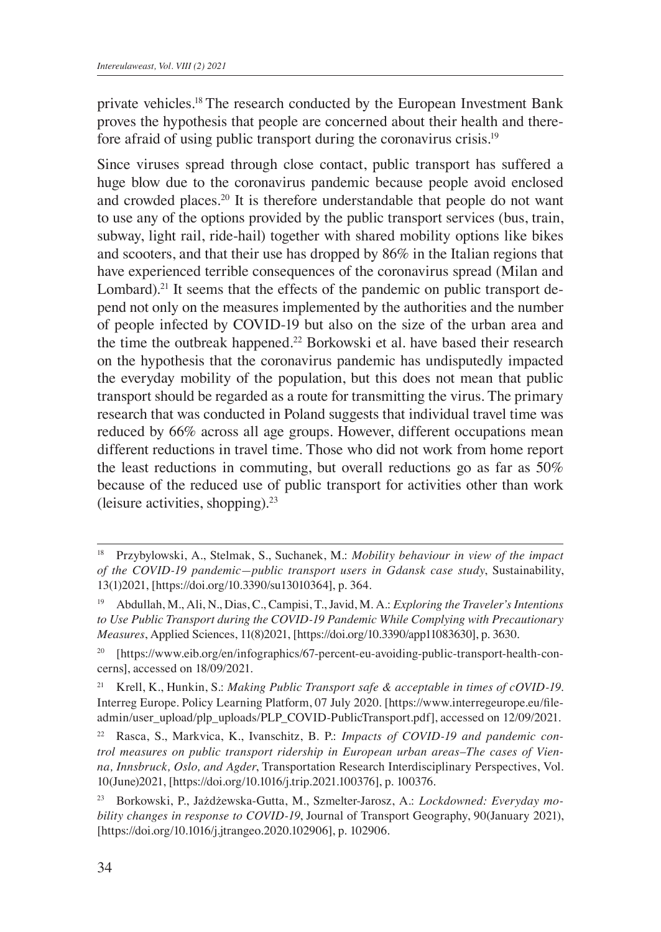private vehicles.18 The research conducted by the European Investment Bank proves the hypothesis that people are concerned about their health and therefore afraid of using public transport during the coronavirus crisis.<sup>19</sup>

Since viruses spread through close contact, public transport has suffered a huge blow due to the coronavirus pandemic because people avoid enclosed and crowded places.<sup>20</sup> It is therefore understandable that people do not want to use any of the options provided by the public transport services (bus, train, subway, light rail, ride-hail) together with shared mobility options like bikes and scooters, and that their use has dropped by 86% in the Italian regions that have experienced terrible consequences of the coronavirus spread (Milan and Lombard).<sup>21</sup> It seems that the effects of the pandemic on public transport depend not only on the measures implemented by the authorities and the number of people infected by COVID-19 but also on the size of the urban area and the time the outbreak happened.<sup>22</sup> Borkowski et al. have based their research on the hypothesis that the coronavirus pandemic has undisputedly impacted the everyday mobility of the population, but this does not mean that public transport should be regarded as a route for transmitting the virus. The primary research that was conducted in Poland suggests that individual travel time was reduced by 66% across all age groups. However, different occupations mean different reductions in travel time. Those who did not work from home report the least reductions in commuting, but overall reductions go as far as 50% because of the reduced use of public transport for activities other than work (leisure activities, shopping).<sup>23</sup>

<sup>21</sup> Krell, K., Hunkin, S.: *Making Public Transport safe & acceptable in times of cOVID-19*. Interreg Europe. Policy Learning Platform, 07 July 2020. [https://www.interregeurope.eu/fileadmin/user\_upload/plp\_uploads/PLP\_COVID-PublicTransport.pdf], accessed on 12/09/2021.

<sup>22</sup> Rasca, S., Markvica, K., Ivanschitz, B. P.: *Impacts of COVID-19 and pandemic control measures on public transport ridership in European urban areas–The cases of Vienna, Innsbruck, Oslo, and Agder*, Transportation Research Interdisciplinary Perspectives, Vol. 10(June)2021, [https://doi.org/10.1016/j.trip.2021.100376], p. 100376.

<sup>18</sup> Przybylowski, A., Stelmak, S., Suchanek, M.: *Mobility behaviour in view of the impact of the COVID-19 pandemic—public transport users in Gdansk case study*, Sustainability, 13(1)2021, [https://doi.org/10.3390/su13010364], p. 364.

<sup>19</sup> Abdullah, M., Ali, N., Dias, C., Campisi, T., Javid, M. A.: *Exploring the Traveler's Intentions to Use Public Transport during the COVID-19 Pandemic While Complying with Precautionary Measures*, Applied Sciences, 11(8)2021, [https://doi.org/10.3390/app11083630], p. 3630.

<sup>20</sup> [https://www.eib.org/en/infographics/67-percent-eu-avoiding-public-transport-health-concerns], accessed on 18/09/2021.

<sup>23</sup> Borkowski, P., Jażdżewska-Gutta, M., Szmelter-Jarosz, A.: *Lockdowned: Everyday mobility changes in response to COVID-19*, Journal of Transport Geography, 90(January 2021), [https://doi.org/10.1016/j.jtrangeo.2020.102906], p. 102906.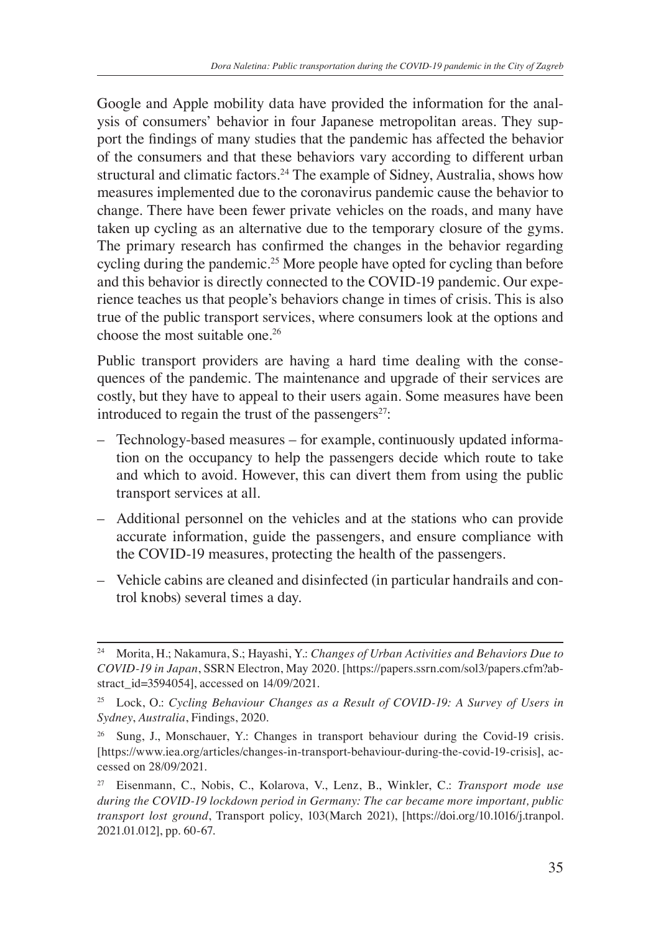Google and Apple mobility data have provided the information for the analysis of consumers' behavior in four Japanese metropolitan areas. They support the findings of many studies that the pandemic has affected the behavior of the consumers and that these behaviors vary according to different urban structural and climatic factors.<sup>24</sup> The example of Sidney, Australia, shows how measures implemented due to the coronavirus pandemic cause the behavior to change. There have been fewer private vehicles on the roads, and many have taken up cycling as an alternative due to the temporary closure of the gyms. The primary research has confirmed the changes in the behavior regarding cycling during the pandemic.<sup>25</sup> More people have opted for cycling than before and this behavior is directly connected to the COVID-19 pandemic. Our experience teaches us that people's behaviors change in times of crisis. This is also true of the public transport services, where consumers look at the options and choose the most suitable one.<sup>26</sup>

Public transport providers are having a hard time dealing with the consequences of the pandemic. The maintenance and upgrade of their services are costly, but they have to appeal to their users again. Some measures have been introduced to regain the trust of the passengers $27$ :

- Technology-based measures for example, continuously updated information on the occupancy to help the passengers decide which route to take and which to avoid. However, this can divert them from using the public transport services at all.
- Additional personnel on the vehicles and at the stations who can provide accurate information, guide the passengers, and ensure compliance with the COVID-19 measures, protecting the health of the passengers.
- Vehicle cabins are cleaned and disinfected (in particular handrails and control knobs) several times a day.

<sup>24</sup> Morita, H.; Nakamura, S.; Hayashi, Y.: *Changes of Urban Activities and Behaviors Due to COVID-19 in Japan*, SSRN Electron, May 2020. [https://papers.ssrn.com/sol3/papers.cfm?abstract\_id=3594054], accessed on 14/09/2021.

<sup>25</sup> Lock, O.: *Cycling Behaviour Changes as a Result of COVID-19: A Survey of Users in Sydney*, *Australia*, Findings, 2020.

<sup>&</sup>lt;sup>26</sup> Sung, J., Monschauer, Y.: Changes in transport behaviour during the Covid-19 crisis. [https://www.iea.org/articles/changes-in-transport-behaviour-during-the-covid-19-crisis], accessed on 28/09/2021.

<sup>27</sup> Eisenmann, C., Nobis, C., Kolarova, V., Lenz, B., Winkler, C.: *Transport mode use during the COVID-19 lockdown period in Germany: The car became more important, public transport lost ground*, Transport policy, 103(March 2021), [https://doi.org/10.1016/j.tranpol. 2021.01.012], pp. 60-67.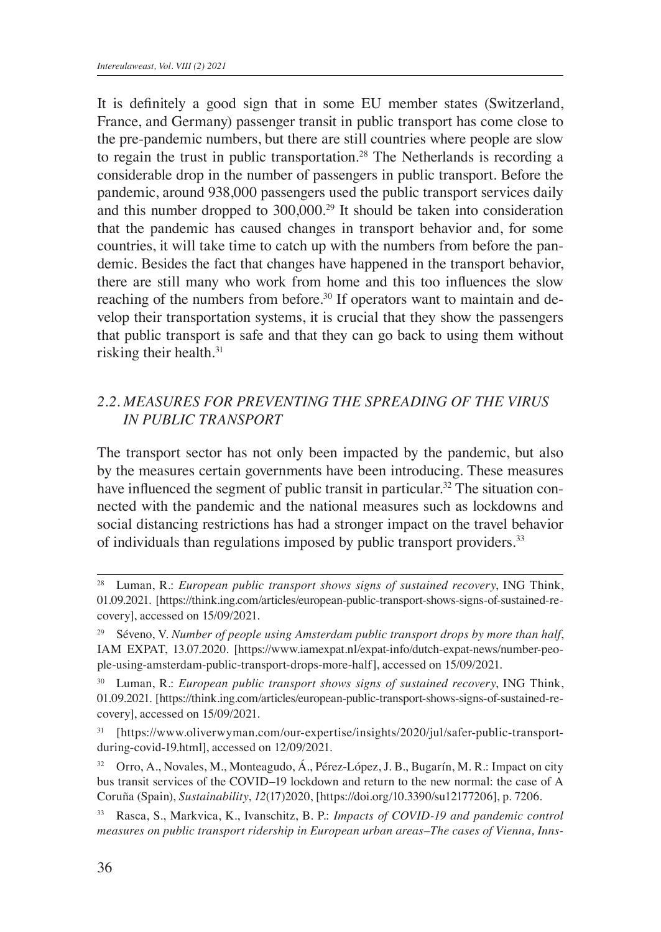It is definitely a good sign that in some EU member states (Switzerland, France, and Germany) passenger transit in public transport has come close to the pre-pandemic numbers, but there are still countries where people are slow to regain the trust in public transportation.<sup>28</sup> The Netherlands is recording a considerable drop in the number of passengers in public transport. Before the pandemic, around 938,000 passengers used the public transport services daily and this number dropped to 300,000.<sup>29</sup> It should be taken into consideration that the pandemic has caused changes in transport behavior and, for some countries, it will take time to catch up with the numbers from before the pandemic. Besides the fact that changes have happened in the transport behavior, there are still many who work from home and this too influences the slow reaching of the numbers from before.<sup>30</sup> If operators want to maintain and develop their transportation systems, it is crucial that they show the passengers that public transport is safe and that they can go back to using them without risking their health.<sup>31</sup>

### *2.2. MEASURES FOR PREVENTING THE SPREADING OF THE VIRUS IN PUBLIC TRANSPORT*

The transport sector has not only been impacted by the pandemic, but also by the measures certain governments have been introducing. These measures have influenced the segment of public transit in particular.<sup>32</sup> The situation connected with the pandemic and the national measures such as lockdowns and social distancing restrictions has had a stronger impact on the travel behavior of individuals than regulations imposed by public transport providers.<sup>33</sup>

<sup>28</sup> Luman, R.: *European public transport shows signs of sustained recovery*, ING Think, 01.09.2021. [https://think.ing.com/articles/european-public-transport-shows-signs-of-sustained-recovery], accessed on 15/09/2021.

<sup>29</sup> Séveno, V. *Number of people using Amsterdam public transport drops by more than half*, IAM EXPAT, 13.07.2020. [https://www.iamexpat.nl/expat-info/dutch-expat-news/number-people-using-amsterdam-public-transport-drops-more-half], accessed on 15/09/2021.

<sup>&</sup>lt;sup>30</sup> Luman, R.: *European public transport shows signs of sustained recovery*, ING Think, 01.09.2021. [https://think.ing.com/articles/european-public-transport-shows-signs-of-sustained-recovery], accessed on 15/09/2021.

<sup>&</sup>lt;sup>31</sup> [https://www.oliverwyman.com/our-expertise/insights/2020/jul/safer-public-transportduring-covid-19.html], accessed on 12/09/2021.

<sup>32</sup> Orro, A., Novales, M., Monteagudo, Á., Pérez-López, J. B., Bugarín, M. R.: Impact on city bus transit services of the COVID–19 lockdown and return to the new normal: the case of A Coruña (Spain), *Sustainability*, *12*(17)2020, [https://doi.org/10.3390/su12177206], p. 7206.

<sup>33</sup> Rasca, S., Markvica, K., Ivanschitz, B. P.: *Impacts of COVID-19 and pandemic control measures on public transport ridership in European urban areas–The cases of Vienna, Inns-*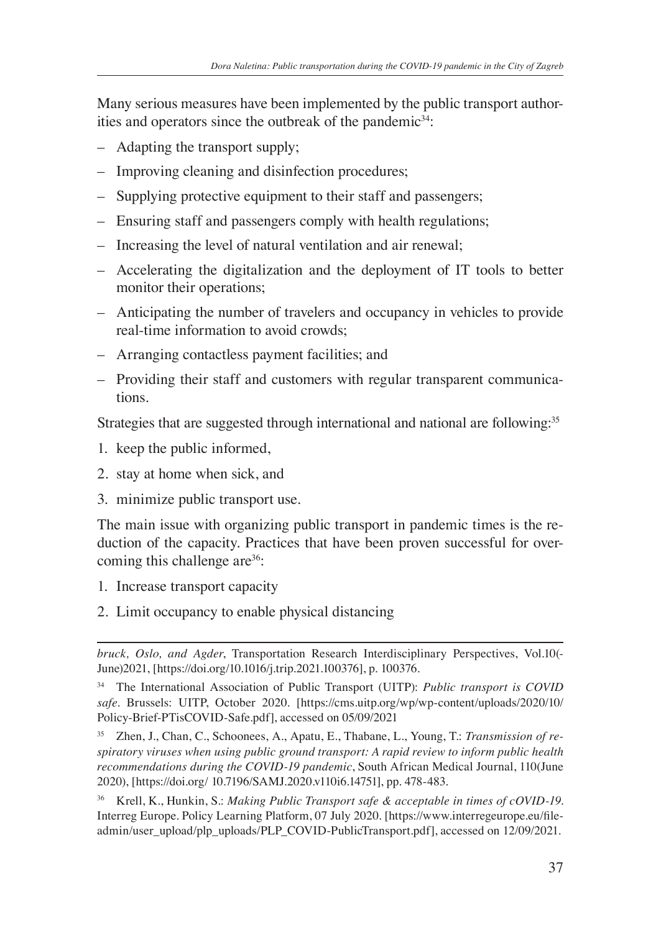Many serious measures have been implemented by the public transport authorities and operators since the outbreak of the pandemic $34$ :

- Adapting the transport supply;
- Improving cleaning and disinfection procedures;
- Supplying protective equipment to their staff and passengers;
- Ensuring staff and passengers comply with health regulations;
- Increasing the level of natural ventilation and air renewal;
- Accelerating the digitalization and the deployment of IT tools to better monitor their operations;
- Anticipating the number of travelers and occupancy in vehicles to provide real-time information to avoid crowds;
- Arranging contactless payment facilities; and
- Providing their staff and customers with regular transparent communications.

Strategies that are suggested through international and national are following.<sup>35</sup>

- 1. keep the public informed,
- 2. stay at home when sick, and
- 3. minimize public transport use.

The main issue with organizing public transport in pandemic times is the reduction of the capacity. Practices that have been proven successful for overcoming this challenge are<sup>36</sup>:

- 1. Increase transport capacity
- 2. Limit occupancy to enable physical distancing

<sup>36</sup> Krell, K., Hunkin, S.: *Making Public Transport safe & acceptable in times of cOVID-19*. Interreg Europe. Policy Learning Platform, 07 July 2020. [https://www.interregeurope.eu/fileadmin/user\_upload/plp\_uploads/PLP\_COVID-PublicTransport.pdf], accessed on 12/09/2021.

*bruck, Oslo, and Agder*, Transportation Research Interdisciplinary Perspectives, Vol.10(- June)2021, [https://doi.org/10.1016/j.trip.2021.100376], p. 100376.

<sup>34</sup> The International Association of Public Transport (UITP): *Public transport is COVID safe*. Brussels: UITP, October 2020. [https://cms.uitp.org/wp/wp-content/uploads/2020/10/ Policy-Brief-PTisCOVID-Safe.pdf], accessed on 05/09/2021

<sup>35</sup> Zhen, J., Chan, C., Schoonees, A., Apatu, E., Thabane, L., Young, T.: *Transmission of respiratory viruses when using public ground transport: A rapid review to inform public health recommendations during the COVID-19 pandemic*, South African Medical Journal, 110(June 2020), [https://doi.org/ 10.7196/SAMJ.2020.v110i6.14751], pp. 478-483.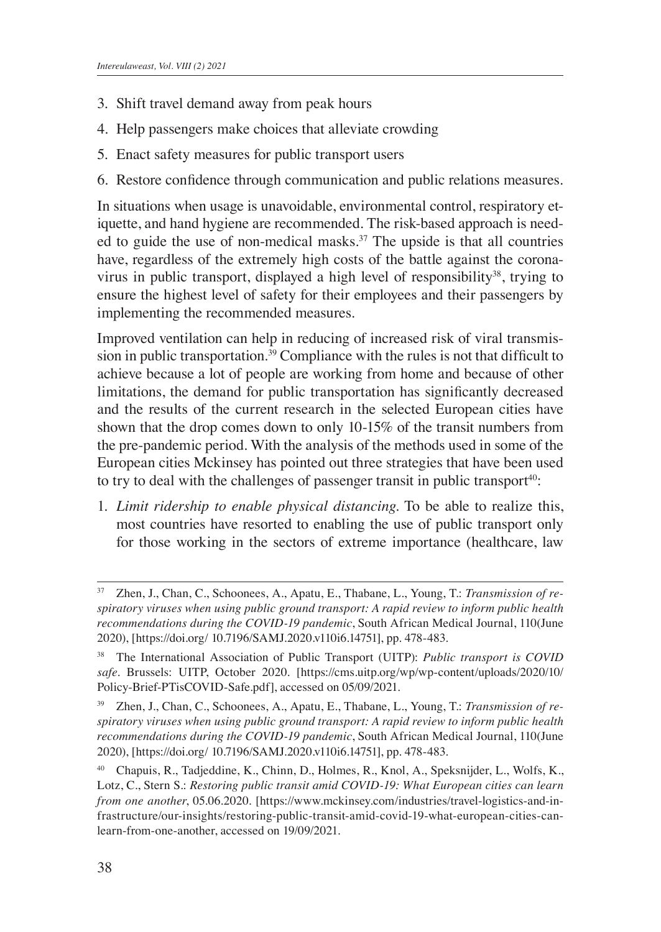- 3. Shift travel demand away from peak hours
- 4. Help passengers make choices that alleviate crowding
- 5. Enact safety measures for public transport users
- 6. Restore confidence through communication and public relations measures.

In situations when usage is unavoidable, environmental control, respiratory etiquette, and hand hygiene are recommended. The risk-based approach is needed to guide the use of non-medical masks.<sup>37</sup> The upside is that all countries have, regardless of the extremely high costs of the battle against the coronavirus in public transport, displayed a high level of responsibility<sup>38</sup>, trying to ensure the highest level of safety for their employees and their passengers by implementing the recommended measures.

Improved ventilation can help in reducing of increased risk of viral transmission in public transportation.<sup>39</sup> Compliance with the rules is not that difficult to achieve because a lot of people are working from home and because of other limitations, the demand for public transportation has significantly decreased and the results of the current research in the selected European cities have shown that the drop comes down to only 10-15% of the transit numbers from the pre-pandemic period. With the analysis of the methods used in some of the European cities Mckinsey has pointed out three strategies that have been used to try to deal with the challenges of passenger transit in public transport<sup>40</sup>:

1. *Limit ridership to enable physical distancing*. To be able to realize this, most countries have resorted to enabling the use of public transport only for those working in the sectors of extreme importance (healthcare, law

Zhen, J., Chan, C., Schoonees, A., Apatu, E., Thabane, L., Young, T.: *Transmission of respiratory viruses when using public ground transport: A rapid review to inform public health recommendations during the COVID-19 pandemic*, South African Medical Journal, 110(June 2020), [https://doi.org/ 10.7196/SAMJ.2020.v110i6.14751], pp. 478-483.

<sup>38</sup> The International Association of Public Transport (UITP): *Public transport is COVID safe*. Brussels: UITP, October 2020. [https://cms.uitp.org/wp/wp-content/uploads/2020/10/ Policy-Brief-PTisCOVID-Safe.pdf], accessed on 05/09/2021.

<sup>39</sup> Zhen, J., Chan, C., Schoonees, A., Apatu, E., Thabane, L., Young, T.: *Transmission of respiratory viruses when using public ground transport: A rapid review to inform public health recommendations during the COVID-19 pandemic*, South African Medical Journal, 110(June 2020), [https://doi.org/ 10.7196/SAMJ.2020.v110i6.14751], pp. 478-483.

<sup>40</sup> Chapuis, R., Tadjeddine, K., Chinn, D., Holmes, R., Knol, A., Speksnijder, L., Wolfs, K., Lotz, C., Stern S.: *Restoring public transit amid COVID-19: What European cities can learn from one another*, 05.06.2020. [https://www.mckinsey.com/industries/travel-logistics-and-infrastructure/our-insights/restoring-public-transit-amid-covid-19-what-european-cities-canlearn-from-one-another, accessed on 19/09/2021.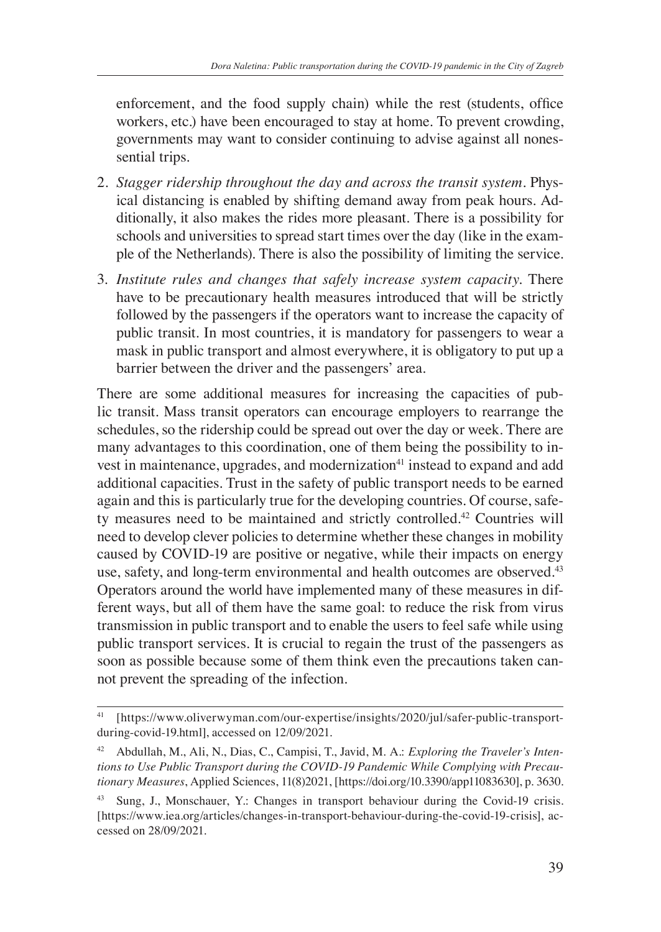enforcement, and the food supply chain) while the rest (students, office workers, etc.) have been encouraged to stay at home. To prevent crowding, governments may want to consider continuing to advise against all nonessential trips.

- 2. *Stagger ridership throughout the day and across the transit system.* Physical distancing is enabled by shifting demand away from peak hours. Additionally, it also makes the rides more pleasant. There is a possibility for schools and universities to spread start times over the day (like in the example of the Netherlands). There is also the possibility of limiting the service.
- 3. *Institute rules and changes that safely increase system capacity.* There have to be precautionary health measures introduced that will be strictly followed by the passengers if the operators want to increase the capacity of public transit. In most countries, it is mandatory for passengers to wear a mask in public transport and almost everywhere, it is obligatory to put up a barrier between the driver and the passengers' area.

There are some additional measures for increasing the capacities of public transit. Mass transit operators can encourage employers to rearrange the schedules, so the ridership could be spread out over the day or week. There are many advantages to this coordination, one of them being the possibility to invest in maintenance, upgrades, and modernization<sup>41</sup> instead to expand and add additional capacities. Trust in the safety of public transport needs to be earned again and this is particularly true for the developing countries. Of course, safety measures need to be maintained and strictly controlled.<sup>42</sup> Countries will need to develop clever policies to determine whether these changes in mobility caused by COVID-19 are positive or negative, while their impacts on energy use, safety, and long-term environmental and health outcomes are observed.<sup>43</sup> Operators around the world have implemented many of these measures in different ways, but all of them have the same goal: to reduce the risk from virus transmission in public transport and to enable the users to feel safe while using public transport services. It is crucial to regain the trust of the passengers as soon as possible because some of them think even the precautions taken cannot prevent the spreading of the infection.

<sup>41</sup> [https://www.oliverwyman.com/our-expertise/insights/2020/jul/safer-public-transportduring-covid-19.html], accessed on 12/09/2021.

<sup>42</sup> Abdullah, M., Ali, N., Dias, C., Campisi, T., Javid, M. A.: *Exploring the Traveler's Intentions to Use Public Transport during the COVID-19 Pandemic While Complying with Precautionary Measures*, Applied Sciences, 11(8)2021, [https://doi.org/10.3390/app11083630], p. 3630.

<sup>43</sup> Sung, J., Monschauer, Y.: Changes in transport behaviour during the Covid-19 crisis. [https://www.iea.org/articles/changes-in-transport-behaviour-during-the-covid-19-crisis], accessed on 28/09/2021.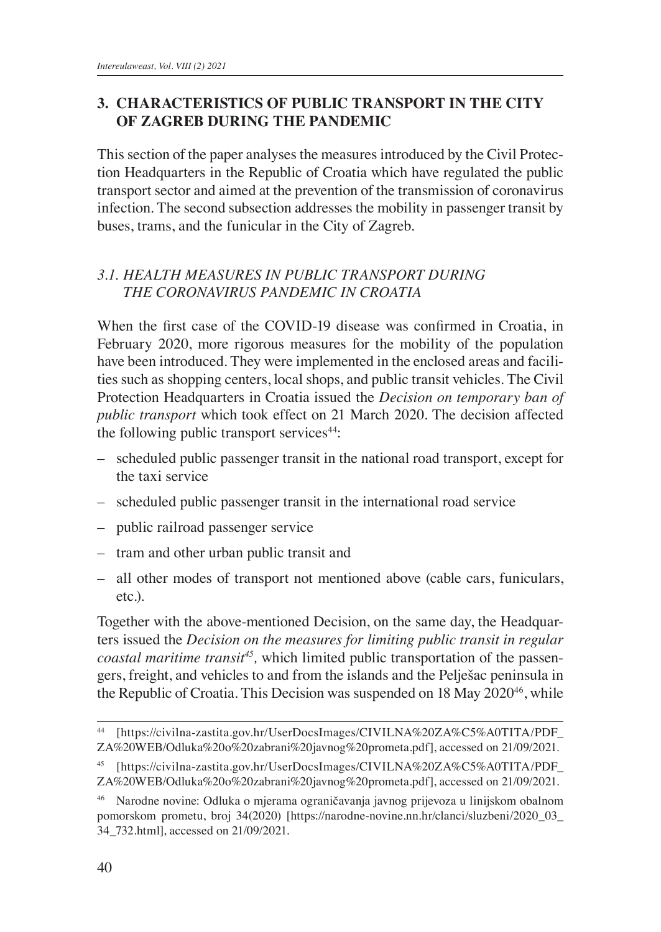### **3. CHARACTERISTICS OF PUBLIC TRANSPORT IN THE CITY OF ZAGREB DURING THE PANDEMIC**

This section of the paper analyses the measures introduced by the Civil Protection Headquarters in the Republic of Croatia which have regulated the public transport sector and aimed at the prevention of the transmission of coronavirus infection. The second subsection addresses the mobility in passenger transit by buses, trams, and the funicular in the City of Zagreb.

### *3.1. HEALTH MEASURES IN PUBLIC TRANSPORT DURING THE CORONAVIRUS PANDEMIC IN CROATIA*

When the first case of the COVID-19 disease was confirmed in Croatia, in February 2020, more rigorous measures for the mobility of the population have been introduced. They were implemented in the enclosed areas and facilities such as shopping centers, local shops, and public transit vehicles. The Civil Protection Headquarters in Croatia issued the *Decision on temporary ban of public transport* which took effect on 21 March 2020. The decision affected the following public transport services $44$ :

- scheduled public passenger transit in the national road transport, except for the taxi service
- scheduled public passenger transit in the international road service
- public railroad passenger service
- tram and other urban public transit and
- all other modes of transport not mentioned above (cable cars, funiculars, etc.).

Together with the above-mentioned Decision, on the same day, the Headquarters issued the *Decision on the measures for limiting public transit in regular coastal maritime transit<sup>45</sup>*, which limited public transportation of the passengers, freight, and vehicles to and from the islands and the Pelješac peninsula in the Republic of Croatia. This Decision was suspended on 18 May 2020<sup>46</sup>, while

<sup>44</sup> [https://civilna-zastita.gov.hr/UserDocsImages/CIVILNA%20ZA%C5%A0TITA/PDF\_ ZA%20WEB/Odluka%20o%20zabrani%20javnog%20prometa.pdf], accessed on 21/09/2021.

<sup>45</sup> [https://civilna-zastita.gov.hr/UserDocsImages/CIVILNA%20ZA%C5%A0TITA/PDF\_ ZA%20WEB/Odluka%20o%20zabrani%20javnog%20prometa.pdf], accessed on 21/09/2021.

<sup>46</sup> Narodne novine: Odluka o mjerama ograničavanja javnog prijevoza u linijskom obalnom pomorskom prometu, broj 34(2020) [https://narodne-novine.nn.hr/clanci/sluzbeni/2020\_03\_ 34\_732.html], accessed on 21/09/2021.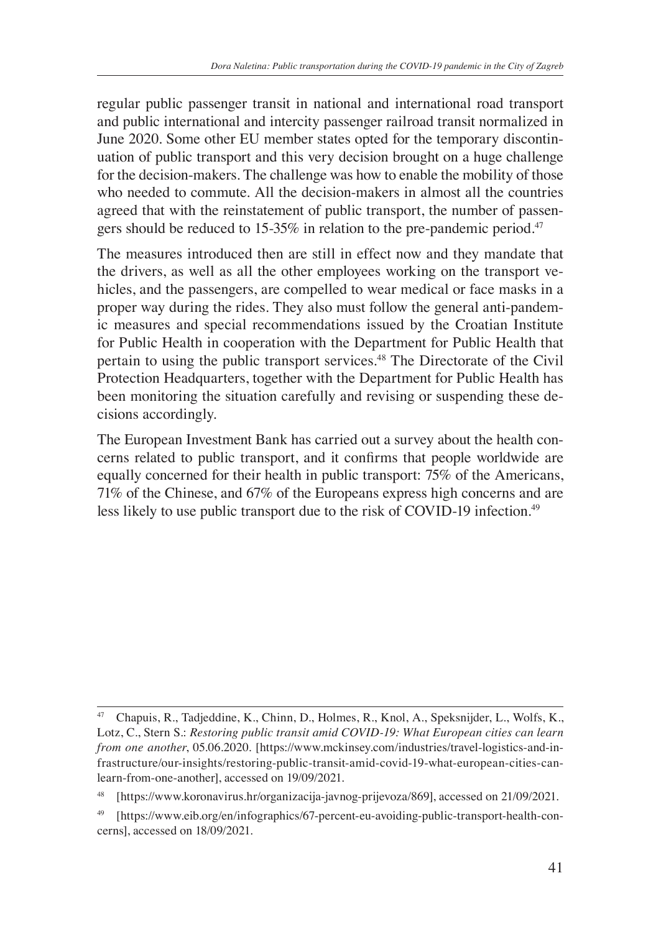regular public passenger transit in national and international road transport and public international and intercity passenger railroad transit normalized in June 2020. Some other EU member states opted for the temporary discontinuation of public transport and this very decision brought on a huge challenge for the decision-makers. The challenge was how to enable the mobility of those who needed to commute. All the decision-makers in almost all the countries agreed that with the reinstatement of public transport, the number of passengers should be reduced to 15-35% in relation to the pre-pandemic period.<sup>47</sup>

The measures introduced then are still in effect now and they mandate that the drivers, as well as all the other employees working on the transport vehicles, and the passengers, are compelled to wear medical or face masks in a proper way during the rides. They also must follow the general anti-pandemic measures and special recommendations issued by the Croatian Institute for Public Health in cooperation with the Department for Public Health that pertain to using the public transport services.48 The Directorate of the Civil Protection Headquarters, together with the Department for Public Health has been monitoring the situation carefully and revising or suspending these decisions accordingly.

The European Investment Bank has carried out a survey about the health concerns related to public transport, and it confirms that people worldwide are equally concerned for their health in public transport: 75% of the Americans, 71% of the Chinese, and 67% of the Europeans express high concerns and are less likely to use public transport due to the risk of COVID-19 infection.<sup>49</sup>

<sup>47</sup> Chapuis, R., Tadjeddine, K., Chinn, D., Holmes, R., Knol, A., Speksnijder, L., Wolfs, K., Lotz, C., Stern S.: *Restoring public transit amid COVID-19: What European cities can learn from one another*, 05.06.2020. [https://www.mckinsey.com/industries/travel-logistics-and-infrastructure/our-insights/restoring-public-transit-amid-covid-19-what-european-cities-canlearn-from-one-another], accessed on 19/09/2021.

<sup>[</sup>https://www.koronavirus.hr/organizacija-javnog-prijevoza/869], accessed on 21/09/2021.

<sup>49</sup> [https://www.eib.org/en/infographics/67-percent-eu-avoiding-public-transport-health-concerns], accessed on 18/09/2021.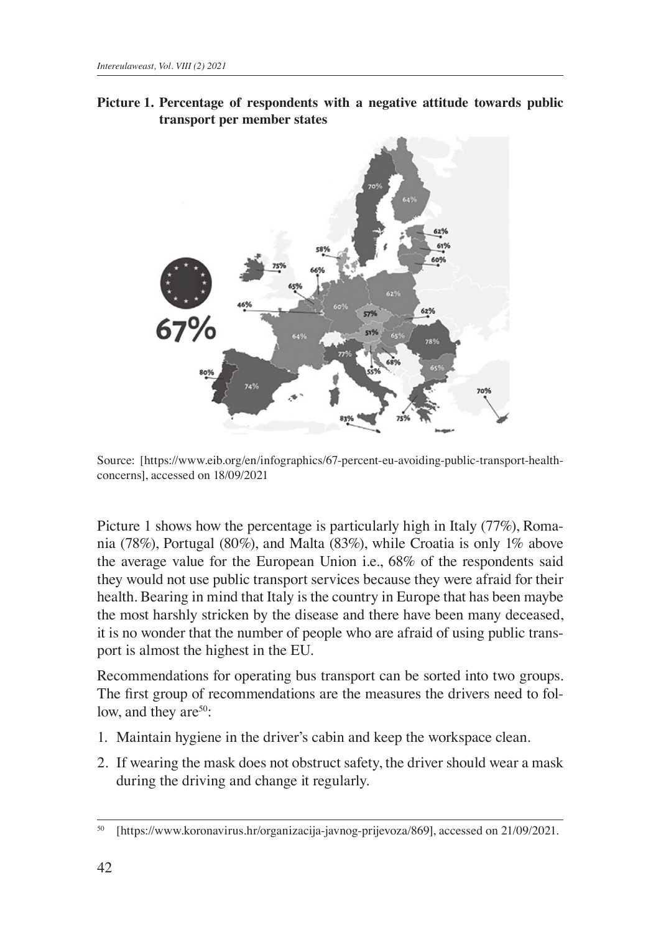



Source: [https://www.eib.org/en/infographics/67-percent-eu-avoiding-public-transport-healthconcerns], accessed on 18/09/2021

Picture 1 shows how the percentage is particularly high in Italy (77%), Romania (78%), Portugal (80%), and Malta (83%), while Croatia is only 1% above the average value for the European Union i.e., 68% of the respondents said they would not use public transport services because they were afraid for their health. Bearing in mind that Italy is the country in Europe that has been maybe the most harshly stricken by the disease and there have been many deceased, it is no wonder that the number of people who are afraid of using public transport is almost the highest in the EU.

Recommendations for operating bus transport can be sorted into two groups. The first group of recommendations are the measures the drivers need to follow, and they are  $50$ :

- 1. Maintain hygiene in the driver's cabin and keep the workspace clean.
- 2. If wearing the mask does not obstruct safety, the driver should wear a mask during the driving and change it regularly.

<sup>50</sup> [https://www.koronavirus.hr/organizacija-javnog-prijevoza/869], accessed on 21/09/2021.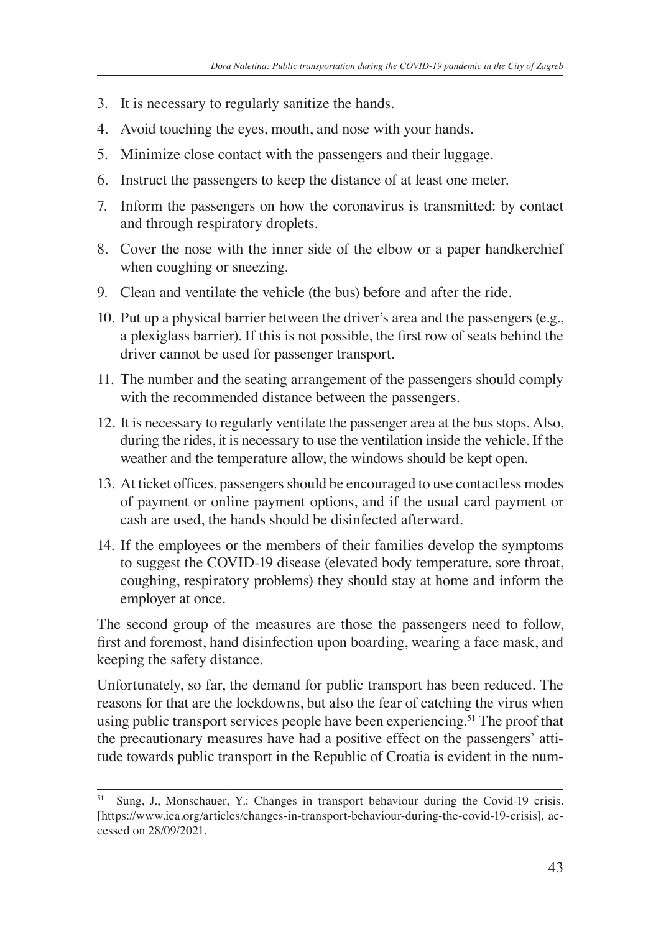- 3. It is necessary to regularly sanitize the hands.
- 4. Avoid touching the eyes, mouth, and nose with your hands.
- 5. Minimize close contact with the passengers and their luggage.
- 6. Instruct the passengers to keep the distance of at least one meter.
- 7. Inform the passengers on how the coronavirus is transmitted: by contact and through respiratory droplets.
- 8. Cover the nose with the inner side of the elbow or a paper handkerchief when coughing or sneezing.
- 9. Clean and ventilate the vehicle (the bus) before and after the ride.
- 10. Put up a physical barrier between the driver's area and the passengers (e.g., a plexiglass barrier). If this is not possible, the first row of seats behind the driver cannot be used for passenger transport.
- 11. The number and the seating arrangement of the passengers should comply with the recommended distance between the passengers.
- 12. It is necessary to regularly ventilate the passenger area at the bus stops. Also, during the rides, it is necessary to use the ventilation inside the vehicle. If the weather and the temperature allow, the windows should be kept open.
- 13. At ticket offices, passengers should be encouraged to use contactless modes of payment or online payment options, and if the usual card payment or cash are used, the hands should be disinfected afterward.
- 14. If the employees or the members of their families develop the symptoms to suggest the COVID-19 disease (elevated body temperature, sore throat, coughing, respiratory problems) they should stay at home and inform the employer at once.

The second group of the measures are those the passengers need to follow, first and foremost, hand disinfection upon boarding, wearing a face mask, and keeping the safety distance.

Unfortunately, so far, the demand for public transport has been reduced. The reasons for that are the lockdowns, but also the fear of catching the virus when using public transport services people have been experiencing.<sup>51</sup> The proof that the precautionary measures have had a positive effect on the passengers' attitude towards public transport in the Republic of Croatia is evident in the num-

Sung, J., Monschauer, Y.: Changes in transport behaviour during the Covid-19 crisis. [https://www.iea.org/articles/changes-in-transport-behaviour-during-the-covid-19-crisis], accessed on 28/09/2021.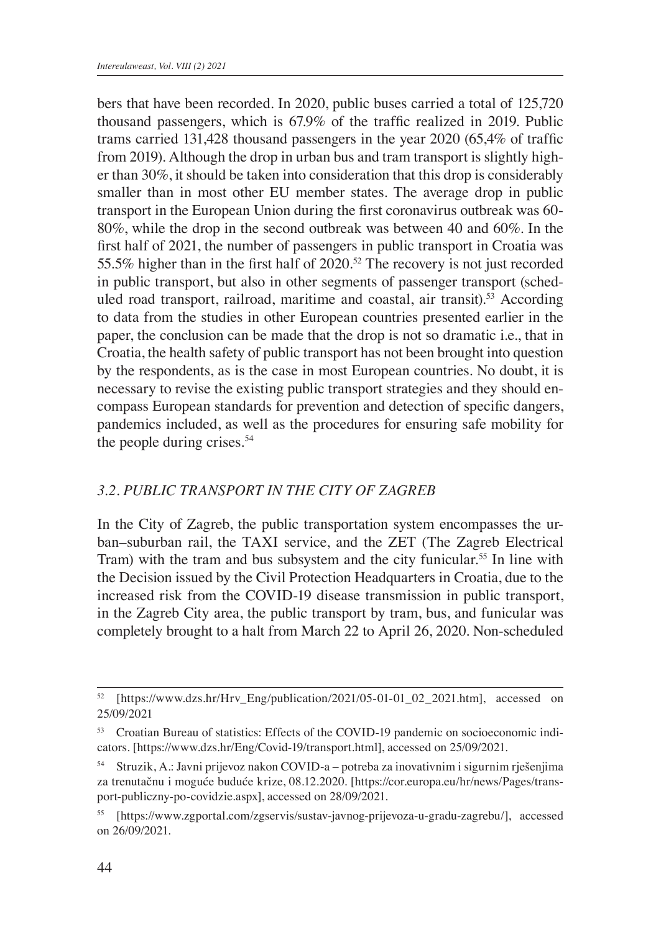bers that have been recorded. In 2020, public buses carried a total of 125,720 thousand passengers, which is 67.9% of the traffic realized in 2019. Public trams carried 131,428 thousand passengers in the year 2020 (65,4% of traffic from 2019). Although the drop in urban bus and tram transport is slightly higher than 30%, it should be taken into consideration that this drop is considerably smaller than in most other EU member states. The average drop in public transport in the European Union during the first coronavirus outbreak was 60- 80%, while the drop in the second outbreak was between 40 and 60%. In the first half of 2021, the number of passengers in public transport in Croatia was 55.5% higher than in the first half of 2020.<sup>52</sup> The recovery is not just recorded in public transport, but also in other segments of passenger transport (scheduled road transport, railroad, maritime and coastal, air transit).<sup>53</sup> According to data from the studies in other European countries presented earlier in the paper, the conclusion can be made that the drop is not so dramatic i.e., that in Croatia, the health safety of public transport has not been brought into question by the respondents, as is the case in most European countries. No doubt, it is necessary to revise the existing public transport strategies and they should encompass European standards for prevention and detection of specific dangers, pandemics included, as well as the procedures for ensuring safe mobility for the people during crises.<sup>54</sup>

### *3.2. PUBLIC TRANSPORT IN THE CITY OF ZAGREB*

In the City of Zagreb, the public transportation system encompasses the urban–suburban rail, the TAXI service, and the ZET (The Zagreb Electrical Tram) with the tram and bus subsystem and the city funicular.<sup>55</sup> In line with the Decision issued by the Civil Protection Headquarters in Croatia, due to the increased risk from the COVID-19 disease transmission in public transport, in the Zagreb City area, the public transport by tram, bus, and funicular was completely brought to a halt from March 22 to April 26, 2020. Non-scheduled

<sup>52</sup> [https://www.dzs.hr/Hrv\_Eng/publication/2021/05-01-01\_02\_2021.htm], accessed on 25/09/2021

<sup>53</sup> Croatian Bureau of statistics: Effects of the COVID-19 pandemic on socioeconomic indicators. [https://www.dzs.hr/Eng/Covid-19/transport.html], accessed on 25/09/2021.

<sup>54</sup> Struzik, A.: Javni prijevoz nakon COVID-a – potreba za inovativnim i sigurnim rješenjima za trenutačnu i moguće buduće krize, 08.12.2020. [https://cor.europa.eu/hr/news/Pages/transport-publiczny-po-covidzie.aspx], accessed on 28/09/2021.

<sup>55</sup> [https://www.zgportal.com/zgservis/sustav-javnog-prijevoza-u-gradu-zagrebu/], accessed on 26/09/2021.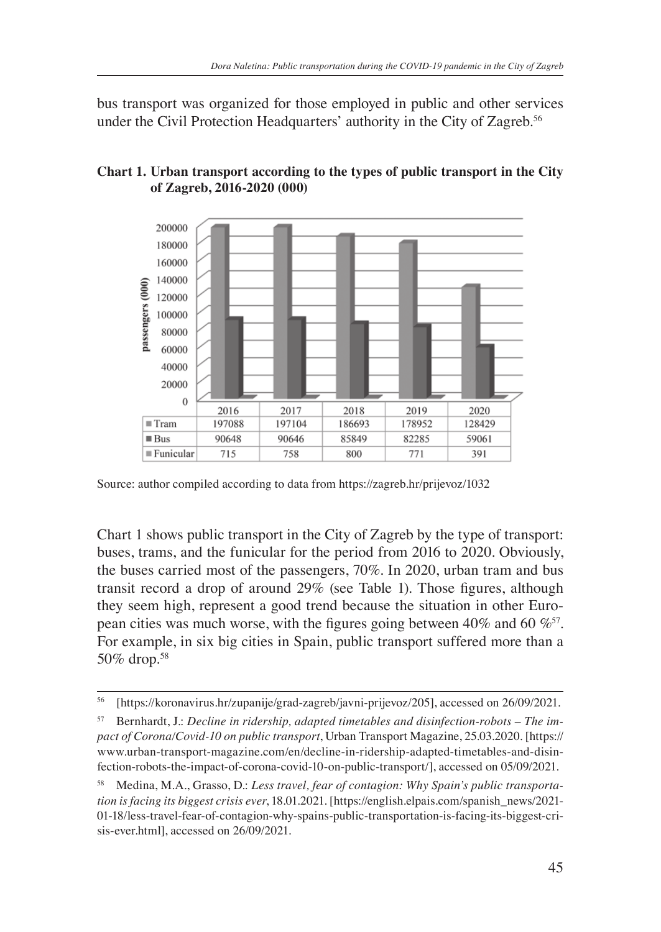bus transport was organized for those employed in public and other services under the Civil Protection Headquarters' authority in the City of Zagreb.<sup>56</sup>

#### **Chart 1. Urban transport according to the types of public transport in the City of Zagreb, 2016-2020 (000)**



Source: author compiled according to data from https://zagreb.hr/prijevoz/1032

Chart 1 shows public transport in the City of Zagreb by the type of transport: buses, trams, and the funicular for the period from 2016 to 2020. Obviously, the buses carried most of the passengers, 70%. In 2020, urban tram and bus transit record a drop of around 29% (see Table 1). Those figures, although they seem high, represent a good trend because the situation in other European cities was much worse, with the figures going between 40% and 60  $\%$ <sup>57</sup>. For example, in six big cities in Spain, public transport suffered more than a 50% drop.58

<sup>56</sup> [https://koronavirus.hr/zupanije/grad-zagreb/javni-prijevoz/205], accessed on 26/09/2021.

<sup>57</sup> Bernhardt, J.: *Decline in ridership, adapted timetables and disinfection-robots – The impact of Corona/Covid-10 on public transport*, Urban Transport Magazine, 25.03.2020. [https:// www.urban-transport-magazine.com/en/decline-in-ridership-adapted-timetables-and-disinfection-robots-the-impact-of-corona-covid-10-on-public-transport/], accessed on 05/09/2021.

<sup>58</sup> Medina, M.A., Grasso, D.: *Less travel, fear of contagion: Why Spain's public transportation is facing its biggest crisis ever*, 18.01.2021. [https://english.elpais.com/spanish\_news/2021- 01-18/less-travel-fear-of-contagion-why-spains-public-transportation-is-facing-its-biggest-crisis-ever.html], accessed on 26/09/2021.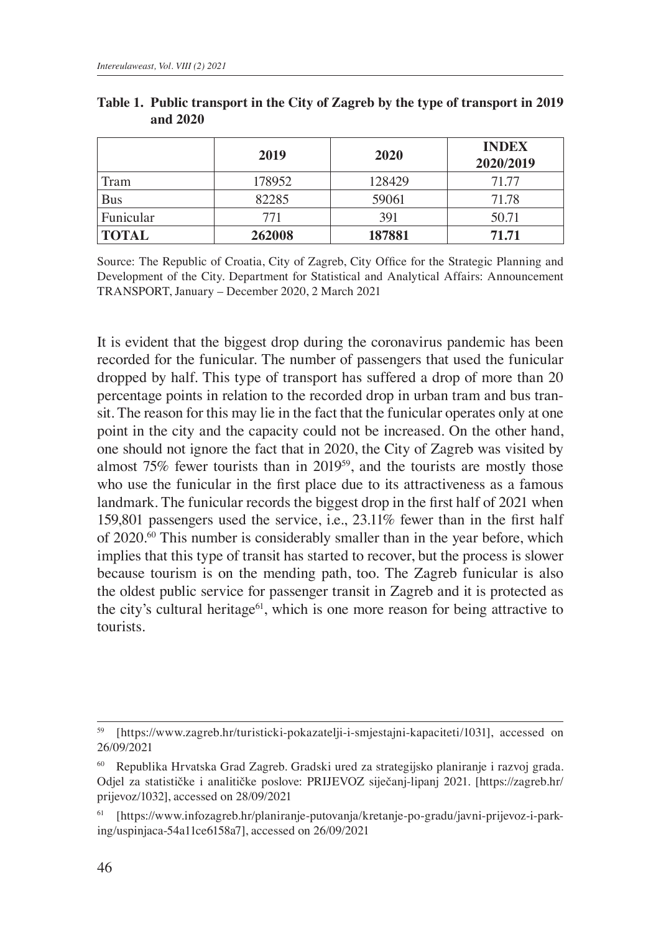|              | 2019   | 2020   | <b>INDEX</b><br>2020/2019 |
|--------------|--------|--------|---------------------------|
| Tram         | 178952 | 128429 | 71.77                     |
| <b>Bus</b>   | 82285  | 59061  | 71.78                     |
| Funicular    | 771    | 391    | 50.71                     |
| <b>TOTAL</b> | 262008 | 187881 | 71.71                     |

**Table 1. Public transport in the City of Zagreb by the type of transport in 2019 and 2020**

Source: The Republic of Croatia, City of Zagreb, City Office for the Strategic Planning and Development of the City. Department for Statistical and Analytical Affairs: Announcement TRANSPORT, January – December 2020, 2 March 2021

It is evident that the biggest drop during the coronavirus pandemic has been recorded for the funicular. The number of passengers that used the funicular dropped by half. This type of transport has suffered a drop of more than 20 percentage points in relation to the recorded drop in urban tram and bus transit. The reason for this may lie in the fact that the funicular operates only at one point in the city and the capacity could not be increased. On the other hand, one should not ignore the fact that in 2020, the City of Zagreb was visited by almost 75% fewer tourists than in 2019<sup>59</sup>, and the tourists are mostly those who use the funicular in the first place due to its attractiveness as a famous landmark. The funicular records the biggest drop in the first half of 2021 when 159,801 passengers used the service, i.e., 23.11% fewer than in the first half of 2020.<sup>60</sup> This number is considerably smaller than in the year before, which implies that this type of transit has started to recover, but the process is slower because tourism is on the mending path, too. The Zagreb funicular is also the oldest public service for passenger transit in Zagreb and it is protected as the city's cultural heritage<sup>61</sup>, which is one more reason for being attractive to tourists.

<sup>59</sup> [https://www.zagreb.hr/turisticki-pokazatelji-i-smjestajni-kapaciteti/1031], accessed on 26/09/2021

<sup>60</sup> Republika Hrvatska Grad Zagreb. Gradski ured za strategijsko planiranje i razvoj grada. Odjel za statističke i analitičke poslove: PRIJEVOZ siječanj-lipanj 2021. [https://zagreb.hr/ prijevoz/1032], accessed on 28/09/2021

<sup>61</sup> [https://www.infozagreb.hr/planiranje-putovanja/kretanje-po-gradu/javni-prijevoz-i-parking/uspinjaca-54a11ce6158a7], accessed on 26/09/2021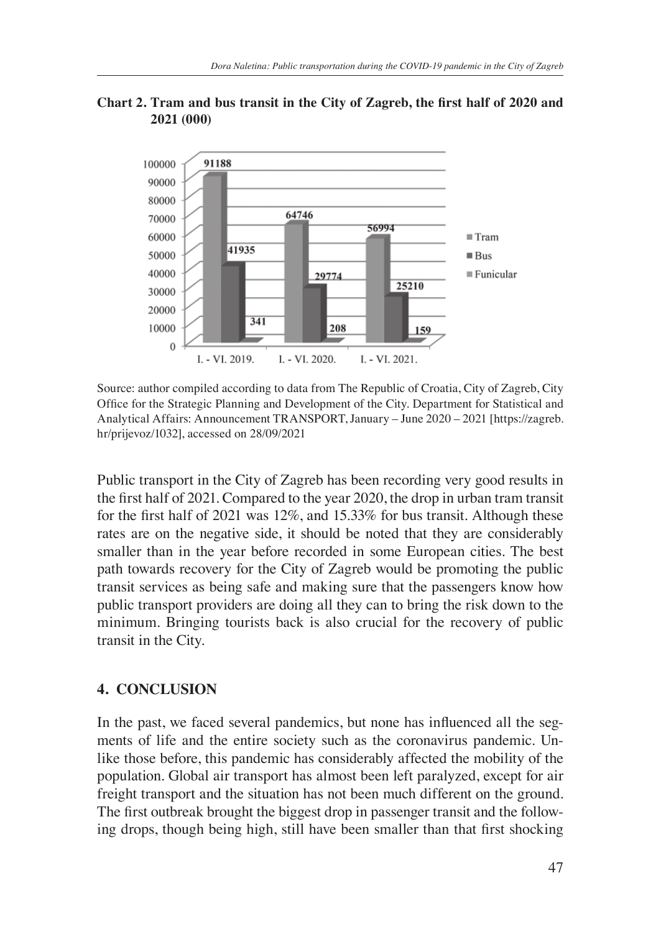

#### **Chart 2. Tram and bus transit in the City of Zagreb, the first half of 2020 and 2021 (000)**

Source: author compiled according to data from The Republic of Croatia, City of Zagreb, City Office for the Strategic Planning and Development of the City. Department for Statistical and Analytical Affairs: Announcement TRANSPORT, January – June 2020 – 2021 [https://zagreb. hr/prijevoz/1032], accessed on 28/09/2021

Public transport in the City of Zagreb has been recording very good results in the first half of 2021. Compared to the year 2020, the drop in urban tram transit for the first half of 2021 was 12%, and 15.33% for bus transit. Although these rates are on the negative side, it should be noted that they are considerably smaller than in the year before recorded in some European cities. The best path towards recovery for the City of Zagreb would be promoting the public transit services as being safe and making sure that the passengers know how public transport providers are doing all they can to bring the risk down to the minimum. Bringing tourists back is also crucial for the recovery of public transit in the City.

## **4. CONCLUSION**

In the past, we faced several pandemics, but none has influenced all the segments of life and the entire society such as the coronavirus pandemic. Unlike those before, this pandemic has considerably affected the mobility of the population. Global air transport has almost been left paralyzed, except for air freight transport and the situation has not been much different on the ground. The first outbreak brought the biggest drop in passenger transit and the following drops, though being high, still have been smaller than that first shocking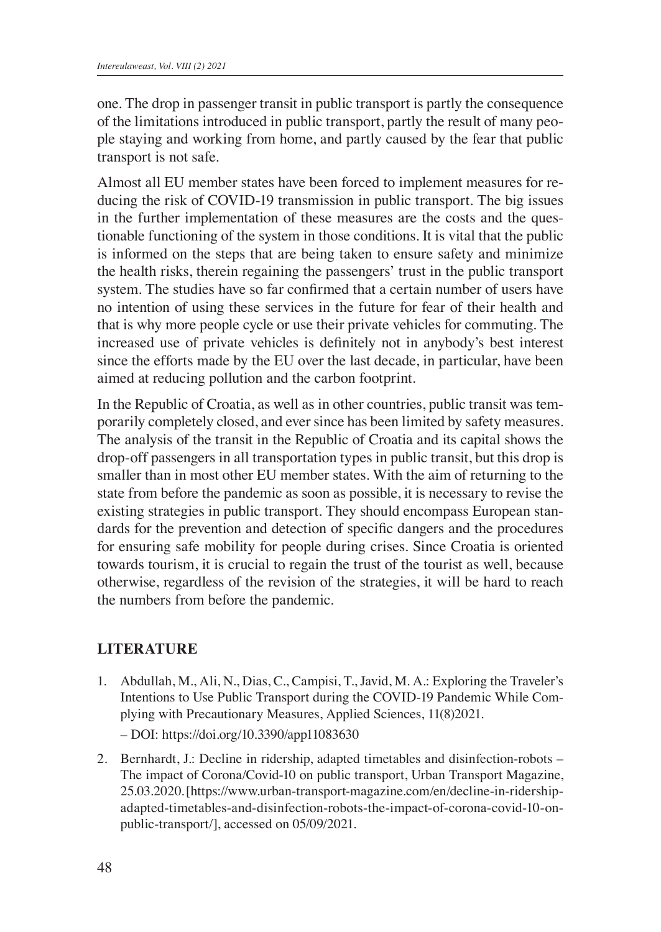one. The drop in passenger transit in public transport is partly the consequence of the limitations introduced in public transport, partly the result of many people staying and working from home, and partly caused by the fear that public transport is not safe.

Almost all EU member states have been forced to implement measures for reducing the risk of COVID-19 transmission in public transport. The big issues in the further implementation of these measures are the costs and the questionable functioning of the system in those conditions. It is vital that the public is informed on the steps that are being taken to ensure safety and minimize the health risks, therein regaining the passengers' trust in the public transport system. The studies have so far confirmed that a certain number of users have no intention of using these services in the future for fear of their health and that is why more people cycle or use their private vehicles for commuting. The increased use of private vehicles is definitely not in anybody's best interest since the efforts made by the EU over the last decade, in particular, have been aimed at reducing pollution and the carbon footprint.

In the Republic of Croatia, as well as in other countries, public transit was temporarily completely closed, and ever since has been limited by safety measures. The analysis of the transit in the Republic of Croatia and its capital shows the drop-off passengers in all transportation types in public transit, but this drop is smaller than in most other EU member states. With the aim of returning to the state from before the pandemic as soon as possible, it is necessary to revise the existing strategies in public transport. They should encompass European standards for the prevention and detection of specific dangers and the procedures for ensuring safe mobility for people during crises. Since Croatia is oriented towards tourism, it is crucial to regain the trust of the tourist as well, because otherwise, regardless of the revision of the strategies, it will be hard to reach the numbers from before the pandemic.

### **LITERATURE**

- 1. Abdullah, M., Ali, N., Dias, C., Campisi, T., Javid, M. A.: Exploring the Traveler's Intentions to Use Public Transport during the COVID-19 Pandemic While Complying with Precautionary Measures, Applied Sciences, 11(8)2021. – DOI: https://doi.org/10.3390/app11083630
- 2. Bernhardt, J.: Decline in ridership, adapted timetables and disinfection-robots The impact of Corona/Covid-10 on public transport, Urban Transport Magazine, 25.03.2020. [https://www.urban-transport-magazine.com/en/decline-in-ridershipadapted-timetables-and-disinfection-robots-the-impact-of-corona-covid-10-onpublic-transport/], accessed on 05/09/2021.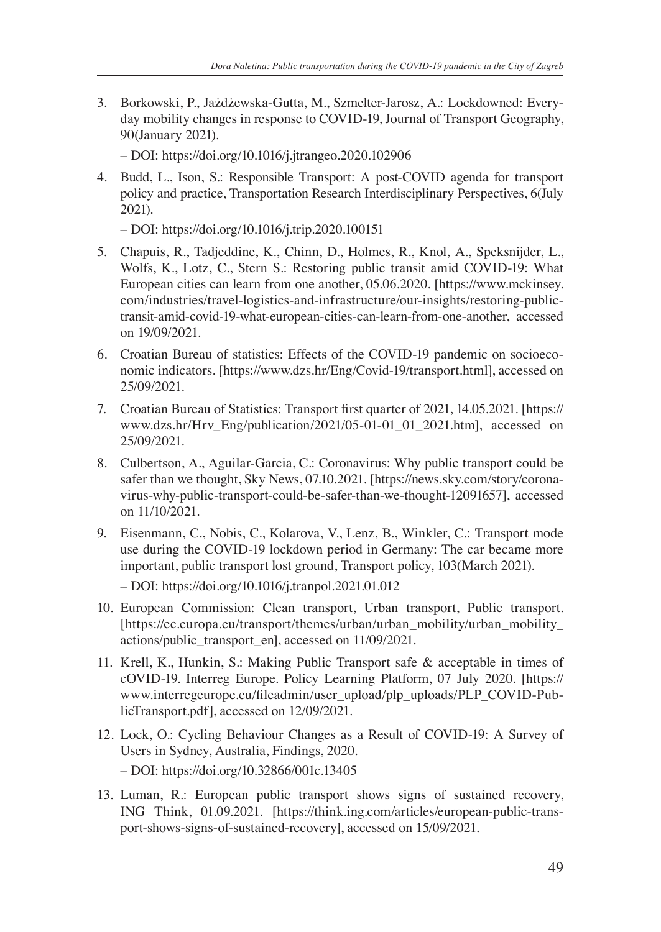3. Borkowski, P., Jażdżewska-Gutta, M., Szmelter-Jarosz, A.: Lockdowned: Everyday mobility changes in response to COVID-19, Journal of Transport Geography, 90(January 2021).

– DOI: https://doi.org/10.1016/j.jtrangeo.2020.102906

4. Budd, L., Ison, S.: Responsible Transport: A post-COVID agenda for transport policy and practice, Transportation Research Interdisciplinary Perspectives, 6(July 2021).

– DOI: https://doi.org/10.1016/j.trip.2020.100151

- 5. Chapuis, R., Tadjeddine, K., Chinn, D., Holmes, R., Knol, A., Speksnijder, L., Wolfs, K., Lotz, C., Stern S.: Restoring public transit amid COVID-19: What European cities can learn from one another, 05.06.2020. [https://www.mckinsey. com/industries/travel-logistics-and-infrastructure/our-insights/restoring-publictransit-amid-covid-19-what-european-cities-can-learn-from-one-another, accessed on 19/09/2021.
- 6. Croatian Bureau of statistics: Effects of the COVID-19 pandemic on socioeconomic indicators. [https://www.dzs.hr/Eng/Covid-19/transport.html], accessed on 25/09/2021.
- 7. Croatian Bureau of Statistics: Transport first quarter of 2021, 14.05.2021. [https:// www.dzs.hr/Hrv\_Eng/publication/2021/05-01-01\_01\_2021.htm], accessed on 25/09/2021.
- 8. Culbertson, A., Aguilar-Garcia, C.: Coronavirus: Why public transport could be safer than we thought, Sky News, 07.10.2021. [https://news.sky.com/story/coronavirus-why-public-transport-could-be-safer-than-we-thought-12091657], accessed on 11/10/2021.
- 9. Eisenmann, C., Nobis, C., Kolarova, V., Lenz, B., Winkler, C.: Transport mode use during the COVID-19 lockdown period in Germany: The car became more important, public transport lost ground, Transport policy, 103(March 2021). – DOI: https://doi.org/10.1016/j.tranpol.2021.01.012
- 10. European Commission: Clean transport, Urban transport, Public transport. [https://ec.europa.eu/transport/themes/urban/urban\_mobility/urban\_mobility\_ actions/public\_transport\_en], accessed on 11/09/2021.
- 11. Krell, K., Hunkin, S.: Making Public Transport safe & acceptable in times of cOVID-19. Interreg Europe. Policy Learning Platform, 07 July 2020. [https:// www.interregeurope.eu/fileadmin/user\_upload/plp\_uploads/PLP\_COVID-PublicTransport.pdf], accessed on 12/09/2021.
- 12. Lock, O.: Cycling Behaviour Changes as a Result of COVID-19: A Survey of Users in Sydney, Australia, Findings, 2020. – DOI: https://doi.org/10.32866/001c.13405
- 13. Luman, R.: European public transport shows signs of sustained recovery, ING Think, 01.09.2021. [https://think.ing.com/articles/european-public-transport-shows-signs-of-sustained-recovery], accessed on 15/09/2021.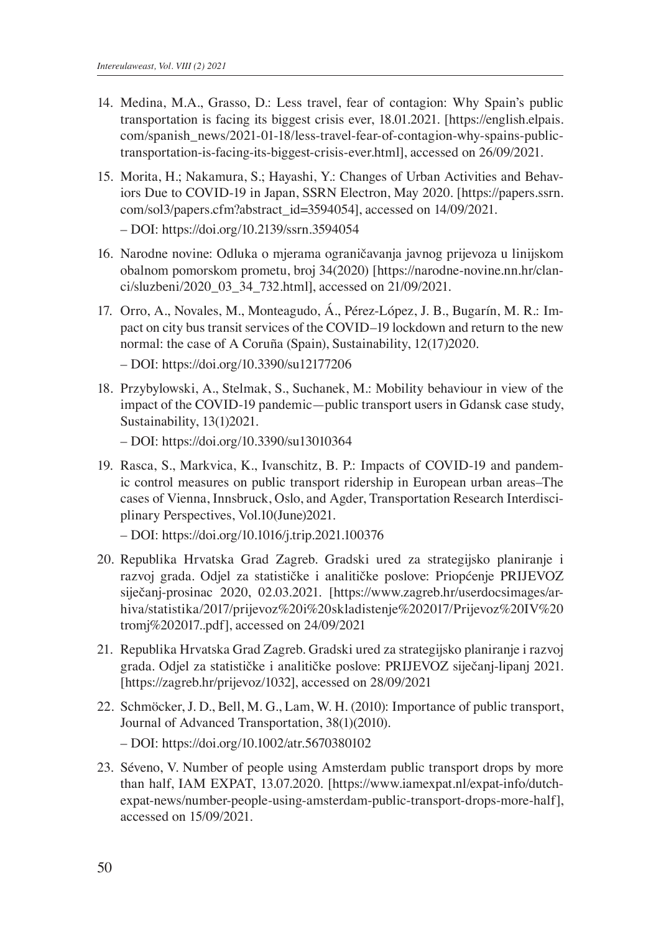- 14. Medina, M.A., Grasso, D.: Less travel, fear of contagion: Why Spain's public transportation is facing its biggest crisis ever, 18.01.2021. [https://english.elpais. com/spanish\_news/2021-01-18/less-travel-fear-of-contagion-why-spains-publictransportation-is-facing-its-biggest-crisis-ever.html], accessed on 26/09/2021.
- 15. Morita, H.; Nakamura, S.; Hayashi, Y.: Changes of Urban Activities and Behaviors Due to COVID-19 in Japan, SSRN Electron, May 2020. [https://papers.ssrn. com/sol3/papers.cfm?abstract\_id=3594054], accessed on 14/09/2021.

– DOI: https://doi.org/10.2139/ssrn.3594054

- 16. Narodne novine: Odluka o mjerama ograničavanja javnog prijevoza u linijskom obalnom pomorskom prometu, broj 34(2020) [https://narodne-novine.nn.hr/clanci/sluzbeni/2020\_03\_34\_732.html], accessed on 21/09/2021.
- 17. Orro, A., Novales, M., Monteagudo, Á., Pérez-López, J. B., Bugarín, M. R.: Impact on city bus transit services of the COVID–19 lockdown and return to the new normal: the case of A Coruña (Spain), Sustainability, 12(17)2020.

– DOI: https://doi.org/10.3390/su12177206

18. Przybylowski, A., Stelmak, S., Suchanek, M.: Mobility behaviour in view of the impact of the COVID-19 pandemic—public transport users in Gdansk case study, Sustainability, 13(1)2021.

– DOI: https://doi.org/10.3390/su13010364

19. Rasca, S., Markvica, K., Ivanschitz, B. P.: Impacts of COVID-19 and pandemic control measures on public transport ridership in European urban areas–The cases of Vienna, Innsbruck, Oslo, and Agder, Transportation Research Interdisciplinary Perspectives, Vol.10(June)2021.

– DOI: https://doi.org/10.1016/j.trip.2021.100376

- 20. Republika Hrvatska Grad Zagreb. Gradski ured za strategijsko planiranje i razvoj grada. Odjel za statističke i analitičke poslove: Priopćenje PRIJEVOZ siječanj-prosinac 2020, 02.03.2021. [https://www.zagreb.hr/userdocsimages/arhiva/statistika/2017/prijevoz%20i%20skladistenje%202017/Prijevoz%20IV%20 tromj%202017..pdf], accessed on 24/09/2021
- 21. Republika Hrvatska Grad Zagreb. Gradski ured za strategijsko planiranje i razvoj grada. Odjel za statističke i analitičke poslove: PRIJEVOZ siječanj-lipanj 2021. [https://zagreb.hr/prijevoz/1032], accessed on 28/09/2021
- 22. Schmöcker, J. D., Bell, M. G., Lam, W. H. (2010): Importance of public transport, Journal of Advanced Transportation, 38(1)(2010). – DOI: https://doi.org/10.1002/atr.5670380102
- 23. Séveno, V. Number of people using Amsterdam public transport drops by more than half, IAM EXPAT, 13.07.2020. [https://www.iamexpat.nl/expat-info/dutchexpat-news/number-people-using-amsterdam-public-transport-drops-more-half], accessed on 15/09/2021.